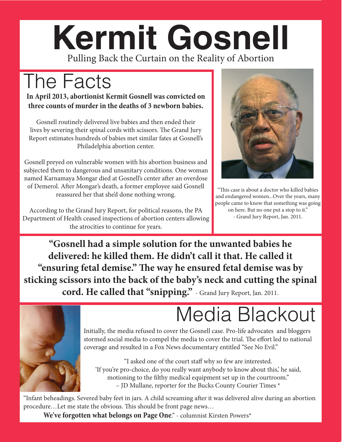#### **Kermit Gosnell** Pulling Back the Curtain on the Reality of Abortion

## The Facts

#### **In April 2013, abortionist Kermit Gosnell was convicted on three counts of murder in the deaths of 3 newborn babies.**

Gosnell routinely delivered live babies and then ended their lives by severing their spinal cords with scissors. The Grand Jury Report estimates hundreds of babies met similar fates at Gosnell's Philadelphia abortion center.

Gosnell preyed on vulnerable women with his abortion business and subjected them to dangerous and unsanitary conditions. One woman named Karnamaya Mongar died at Gosnell's center after an overdose of Demerol. After Mongar's death, a former employee said Gosnell reassured her that she'd done nothing wrong.

According to the Grand Jury Report, for political reasons, the PA Department of Health ceased inspections of abortion centers allowing the atrocities to continue for years.



"This case is about a doctor who killed babies and endangered women...Over the years, many people came to know that something was going on here. But no one put a stop to it." - Grand Jury Report, Jan. 2011.

**"Gosnell had a simple solution for the unwanted babies he delivered: he killed them. He didn't call it that. He called it "ensuring fetal demise." The way he ensured fetal demise was by sticking scissors into the back of the baby's neck and cutting the spinal cord. He called that "snipping."** - Grand Jury Report, Jan. 2011.



## Media Blackout

Initially, the media refused to cover the Gosnell case. Pro-life advocates and bloggers stormed social media to compel the media to cover the trial. The effort led to national coverage and resulted in a Fox News documentary entitled "See No Evil."

"I asked one of the court staff why so few are interested. 'If you're pro-choice, do you really want anybody to know about this,' he said, motioning to the filthy medical equipment set up in the courtroom." – JD Mullane, reporter for the Bucks County Courier Times \*

"Infant beheadings. Severed baby feet in jars. A child screaming after it was delivered alive during an abortion procedure…Let me state the obvious. This should be front page news…

**We've forgotten what belongs on Page One**." - columnist Kirsten Powers\*